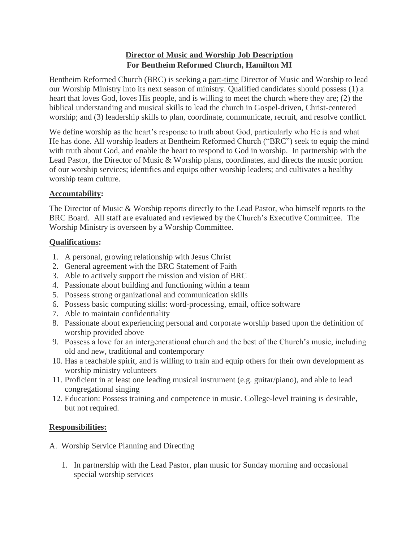# **Director of Music and Worship Job Description For Bentheim Reformed Church, Hamilton MI**

Bentheim Reformed Church (BRC) is seeking a part-time Director of Music and Worship to lead our Worship Ministry into its next season of ministry. Qualified candidates should possess (1) a heart that loves God, loves His people, and is willing to meet the church where they are; (2) the biblical understanding and musical skills to lead the church in Gospel-driven, Christ-centered worship; and (3) leadership skills to plan, coordinate, communicate, recruit, and resolve conflict.

We define worship as the heart's response to truth about God, particularly who He is and what He has done. All worship leaders at Bentheim Reformed Church ("BRC") seek to equip the mind with truth about God, and enable the heart to respond to God in worship. In partnership with the Lead Pastor, the Director of Music & Worship plans, coordinates, and directs the music portion of our worship services; identifies and equips other worship leaders; and cultivates a healthy worship team culture.

#### **Accountability:**

The Director of Music & Worship reports directly to the Lead Pastor, who himself reports to the BRC Board. All staff are evaluated and reviewed by the Church's Executive Committee. The Worship Ministry is overseen by a Worship Committee.

#### **Qualifications:**

- 1. A personal, growing relationship with Jesus Christ
- 2. General agreement with the BRC Statement of Faith
- 3. Able to actively support the mission and vision of BRC
- 4. Passionate about building and functioning within a team
- 5. Possess strong organizational and communication skills
- 6. Possess basic computing skills: word-processing, email, office software
- 7. Able to maintain confidentiality
- 8. Passionate about experiencing personal and corporate worship based upon the definition of worship provided above
- 9. Possess a love for an intergenerational church and the best of the Church's music, including old and new, traditional and contemporary
- 10. Has a teachable spirit, and is willing to train and equip others for their own development as worship ministry volunteers
- 11. Proficient in at least one leading musical instrument (e.g. guitar/piano), and able to lead congregational singing
- 12. Education: Possess training and competence in music. College-level training is desirable, but not required.

#### **Responsibilities:**

- A. Worship Service Planning and Directing
	- 1. In partnership with the Lead Pastor, plan music for Sunday morning and occasional special worship services